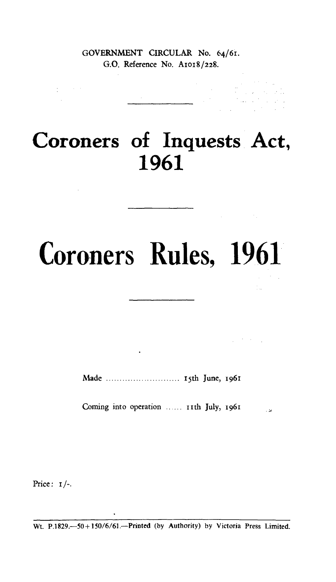### GOVERNMENT CIRCULAR No. 64/61. G.O. Reference No. A1o18/228.

# **Coroners of Inquests Act, 1961**

# **Coroners Rules, 1961**

 $\frac{1}{2}$  .

 $\mathcal{L}_{\text{max}}$  , where  $\mathcal{L}_{\text{max}}$ 

Made i5th June, 1961

 $\ddot{\phantom{0}}$ 

Coming into operation ...... 11th July, 1961  $\sim$  12

Price:  $I/-$ .

 $\mathcal{L}_{\mathcal{L}}$  , and  $\mathcal{L}_{\mathcal{L}}$  $\sim 10^{-11}$ 

Wt. P.1829.-50+150/6/61.--Printed (by Authority) by Victoria Press Limited.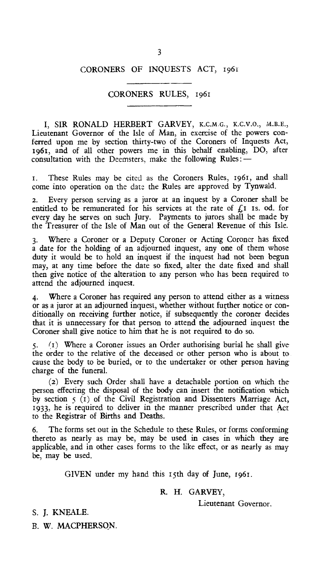#### CORONERS OF INQUESTS ACT, 1961

#### CORONERS RULES, 1961

I, SIR RONALD HERBERT GARVEY, K.C.M.G., x.c.v.o., M.B.E., Lieutenant Governor of the Isle of Man, in exercise of the powers conferred upon me by section thirty-two of the Coroners of Inquests Act, 1961, and of all other powers me in this behalf enabling, DO, after consultation with the Deemsters, make the following Rules :-

1. These Rules may be cited as the Coroners Rules, 1961, and shall come into operation on the date the Rules are approved by Tynwald.

2. Every person serving as a juror at an inquest by a Coroner shall be entitled to be remunerated for his services at the rate of  $f<sub>i</sub>$  is. od. for every day he serves on such Jury. Payments to jurors shall be made by the Treasurer of the Isle of Man out of the General Revenue of this Isle.

3. Where a Coroner or a Deputy Coroner or Acting Coroner has fixed a date for the holding of an adjourned inquest, any one of them whose duty it would be to hold an inquest if the inquest had not been begun may, at any time before the date so fixed, alter the date fixed and shall then give notice of the alteration to any person who has been required to attend the adjourned inquest.

4. Where a Coroner has required any person to attend either as a witness or as a juror at an adjourned inquest, whether without further notice or conditionally on receiving further notice, if subsequently the coroner decides that it is unnecessary for that person to attend the adjourned inquest the Coroner shall give notice to him that he is not required to do so.

5. (1) Where a Coroner issues an Order authorising burial he shall give the order to the relative of the deceased or other person who is about to cause the body to be buried, or to the undertaker or other person having charge of the funeral.

(2) Every such Order shall have a detachable portion on which the person effecting the disposal of the body can insert the notification which by section  $\zeta$  (1) of the Civil Registration and Dissenters Marriage Act, 1933, he is required to deliver in the manner prescribed under that Act to the Registrar of Births and Deaths.

6. The forms set out in the Schedule to these Rules, or forms conforming thereto as nearly as may be, may be used in cases in which they are applicable, and in other cases forms to the like effect, or as nearly as may be, may be used.

GIVEN under my hand this 15th day of June, 1961.

#### R. H. GARVEY,

Lieutenant Governor.

S. J. KNEALE.

B. W. MACPHERSON.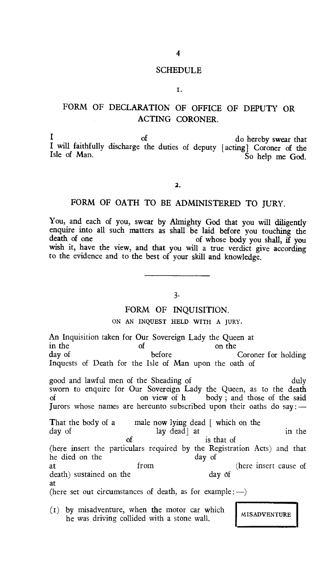#### SCHEDULE

#### I.

## FORM OF DECLARATION OF OFFICE OF DEPUTY OR ACTING CORONER.

 $\frac{1}{2}$  of do hereby swear that I will faithfully discharge the duties of deputy [acting] Coroner of the Isle of Man. So help me God.

2.

#### FORM OF OATH TO BE ADMINISTERED TO JURY.

You, and each of you, swear by Almighty God that you will diligently enquire into all such matters as shall be laid before you touching the death of one of whose body you shall if you of whose body you shall, if you wish it, have the view, and that you will a true verdict give according to the evidence and to the best of your skill and knowledge.

3.

#### FORM OF INQUISITION.

#### ON AN INQUEST HELD WITH A JURY.

An Inquisition taken for Our Sovereign Lady the Queen at in the of the  $\frac{1}{2}$  on the  $\frac{1}{2}$ in the of on the on the only on the only of the only on the only on the only on the only on the only on the only of  $\mathbb{R}^n$ day of before before Coroner for holding Inquests of Death for the Isle of Man upon the oath of

good and lawful men of the Sheading of duly sworn to enquire for Our Sovereign Lady the Queen, as to the death of on view of h body; and those of the said body; and those of the said Jurors whose names are hereunto subscribed upon their oaths do say:—

That the body of a male now lying dead [ which on the day of lay dead] at in the day of the set of the contract of the contract of the contract of the contract of the contract of the contract of the contract of the contract of the contract of the contract of the contract of t is that of (here insert the particulars required by the Registration Acts) and that he died on the distribution of the day of the day of the day of the day of the day of the day of the day of the day of the day of the day of the day of the day of the day of the day of the day of the day of the day of the at from (here insert cause of death) sustained on the day of death) sustained on the at (here set out circumstances of death, as for example :  $-$ )

MISADVENTURE (1) by misadventure, when the motor car which he was driving collided with a stone wall.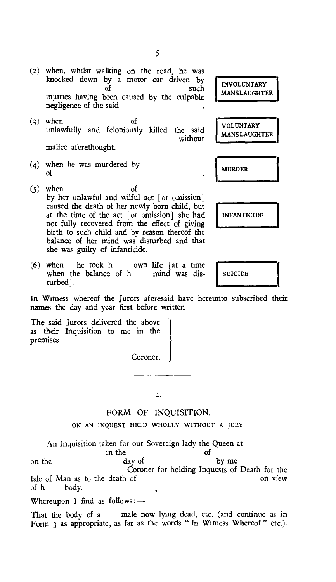(2) when, whilst walking on the road, he was knocked down by a motor car driven by  $\delta$ such injuries having been caused by the culpable negligence of the said

(3) when of unlawfully and feloniously killed the said without malice aforethought.

- $(4)$  when he was murdered by  $\blacksquare$  MURDER of
- (5) when of by her unlawful and wilful act [or omission] caused the death of her newly born child, but at the time of the act [or omission] she had not fully recovered from the effect of giving birth to such child and by reason thereof the balance of her mind was disturbed and that she was guilty of infanticide.
- (6) when he took h own life  $[at a time]$  when the balance of h mind was diswhen the balance of h mind was dis-  $\parallel$  SUICIDE turbed].

In Witness whereof the Jurors aforesaid have hereunto subscribed their names the day and year first before written

The said Jurors delivered the above as their Inquisition to me in the premises

Coroner.

4.

#### FORM OF INQUISITION.

ON AN INQUEST HELD WHOLLY WITHOUT A JURY.

An Inquisition taken for our Sovereign lady the Queen at

in the of of the of

on the day of by me Coroner for holding Inquests of Death for the<br>of on view Isle of Man as to the death of of  $h$  body. body.

Whereupon I find as follows: —

That the body of a male now lying dead, etc. (and continue as in Form 3 as appropriate, as far as the words " In Witness Whereof " etc.).

**MANSLAUGHTER VOLUNTARY MANSLAUGHTER** 

**INVOLUNTARY** 

**[INFANTICIDE**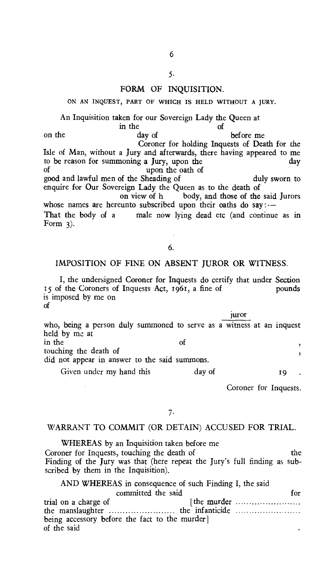#### 5.

#### FORM OF INOUISITION.

ON AN INQUEST, PART OF WHICH IS HELD WITHOUT A JURY.

#### An Inquisition taken for our Sovereign Lady the Queen at

in the of of  $\frac{1}{2}$  of  $\frac{1}{2}$  of  $\frac{1}{2}$  of  $\frac{1}{2}$  of  $\frac{1}{2}$  of  $\frac{1}{2}$ on the day of before me Coroner for holding Inquests of Death for the Isle of Man, without a Jury and afterwards, there having appeared to me to be reason for summoning a Jury, upon the<br>of upon the oath of upon the oath of good and lawful men of the Sheading of duly sworn to enquire for Our Sovereign Lady the Queen as to the death of<br>on view of h body, and those of the body, and those of the said Jurors whose names are hereunto subscribed upon their oaths do say :--That the body of a male now lying dead etc (and continue as in

6.

Form  $3$ ).

#### IMPOSITION OF FINE ON ABSENT JUROR OR WITNESS.

I, the undersigned Coroner for Inquests do certify that under Section is of the Coroners of Inquests Act, 1961, a fine of pounds is imposed by me on of

juror who, being a person duly summoned to serve as a witness at an inquest held by me at in the of  $\overline{\phantom{a}}$ touching the death of  $\overline{z}$ did not appear in answer to the said summons. Given under my hand this day of 19

Coroner for Inquests.

#### 7.

#### WARRANT TO COMMIT (OR DETAIN) ACCUSED FOR TRIAL.

WHEREAS by an Inquisition taken before me Coroner for Inquests, touching the death of the the Finding of the Jury was that (here repeat the Jury's full finding as subscribed by them in the Inquisition).

| AND WHEREAS in consequence of such Finding I, the said                |      |  |
|-----------------------------------------------------------------------|------|--|
| committed the said                                                    | for. |  |
| trial on a charge of<br>being accessory before the fact to the murder |      |  |
| of the said                                                           |      |  |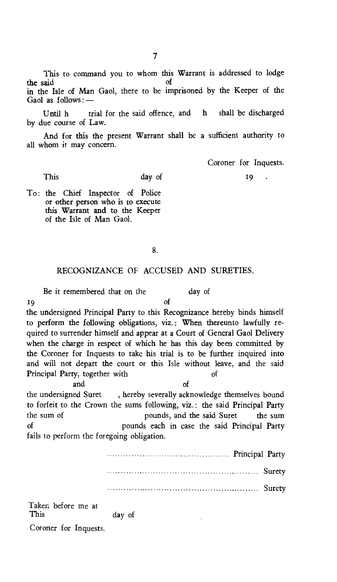This to command you to whom this Warrant is addressed to lodge the said of in the Isle of Man Gaol, there to be imprisoned by the Keeper of the Gaol as follows :—

Until h trial for the said offence, and h shall be discharged by due course of Law.

And for this the present Warrant shall be a sufficient authority to all whom it may concern.

Coroner for Inquests.

19 .

To: the Chief Inspector of Police or other person who is to execute this Warrant and to the Keeper of the Isle of Man Gaol.

This day of

#### 8.

#### RECOGNIZANCE OF ACCUSED AND SURETIES.

Be it remembered that on the day of 19 of the undersigned Principal Party to this Recognizance hereby binds himself to perform the following obligations, viz.: When thereunto lawfully required to surrender himself and appear at a Court of General Gaol Delivery when the charge in respect of which he has this day been committed by the Coroner for Inquests to take his trial is to be further inquired into and will not depart the court or this Isle without leave, and the said Principal Party, together with of and of the undersigned Suret , hereby severally acknowledge themselves bound

to forfeit to the Crown the sums following, viz.: the said Principal Party the sum of pounds, and the said Suret the sum<br>of pounds each in case the said Principal Party pounds each in case the said Principal Party fails to perform the foregoing obligation.

 Principal Party Surety Surety Taken before me at

day of Coroner for Inquests.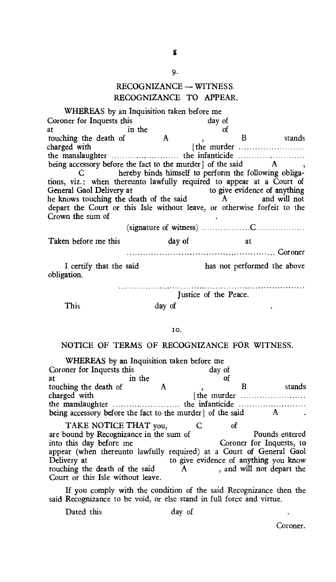#### RECOGNIZANCE — WITNESS. RECOGNIZANCE TO APPEAR.

| WHEREAS by an Inquisition taken before me                                |                              |                       |                             |  |  |  |  |
|--------------------------------------------------------------------------|------------------------------|-----------------------|-----------------------------|--|--|--|--|
| Coroner for Inquests this                                                |                              | day of                |                             |  |  |  |  |
|                                                                          | in the                       | of                    |                             |  |  |  |  |
| in the<br>touching the death of A<br>charged with<br>the manufacture.    |                              | $\mathbf{v}$          | B stands                    |  |  |  |  |
|                                                                          |                              | [the murder           |                             |  |  |  |  |
|                                                                          |                              |                       |                             |  |  |  |  |
| being accessory before the fact to the murder of the said A,             |                              |                       |                             |  |  |  |  |
| C hereby binds himself to perform the following obliga-                  |                              |                       |                             |  |  |  |  |
| tions, viz.: when thereunto lawfully required to appear at a Court of    |                              |                       |                             |  |  |  |  |
| General Gaol Delivery at                                                 | to give evidence of anything |                       |                             |  |  |  |  |
| he knows touching the death of the said A and will not                   |                              |                       |                             |  |  |  |  |
| depart the Court or this Isle without leave, or otherwise forfeit to the |                              |                       |                             |  |  |  |  |
| Crown the sum of                                                         |                              |                       |                             |  |  |  |  |
|                                                                          |                              |                       |                             |  |  |  |  |
| Taken before me this                                                     | day of                       | at                    |                             |  |  |  |  |
|                                                                          |                              |                       |                             |  |  |  |  |
| I certify that the said<br>obligation.                                   |                              |                       | has not performed the above |  |  |  |  |
|                                                                          |                              | Justice of the Peace. |                             |  |  |  |  |
|                                                                          |                              |                       |                             |  |  |  |  |

This day of

#### IO.

#### NOTICE OF TERMS OF RECOGNIZANCE FOR WITNESS.

| WHEREAS by an Inquisition taken before me                                                          |        |        |                                 |        |
|----------------------------------------------------------------------------------------------------|--------|--------|---------------------------------|--------|
| Coroner for Inquests this                                                                          |        | day of |                                 |        |
| at                                                                                                 | in the |        |                                 |        |
| touching the death of                                                                              |        |        |                                 | stands |
| charged with                                                                                       |        |        | [the murder                     |        |
|                                                                                                    |        |        |                                 |        |
| being accessory before the fact to the murder of the said                                          |        |        |                                 |        |
| TAKE NOTICE THAT you,                                                                              |        | Ωt     |                                 |        |
| $\mathbf{r}$ and $\mathbf{r}$ is a set of the set of the set of the set of the set of $\mathbf{r}$ |        |        | $D_{\text{max}}$ 1. $\ldots$ 1. |        |

are bound by Recognizance in the sum of Pounds entered<br>into this day before me Coroner for Inquests, to Coroner for Inquests, to appear (when thereunto lawfully required) at a Court of General Gaol<br>Delivery at the give evidence of anything you know to give evidence of anything you know<br>A, and will not depart the touching the death of the said Court or this Isle without leave.

If you comply with the condition of the said Recognizance then the said Recognizance to be void, or else stand in full force and virtue.

Dated this day of

 $\ddot{\phantom{a}}$ Coroner.

9.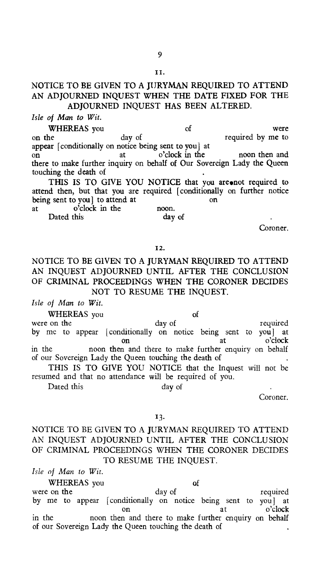#### NOTICE TO BE GIVEN TO A JURYMAN REQUIRED TO ATTEND AN ADJOURNED INQUEST WHEN THE DATE FIXED FOR THE ADJOURNED INQUEST HAS BEEN ALTERED.

*Isle of Man to Wit.* 

WHEREAS you of were on the day of the required by me to appear [conditionally on notice being sent to you] *at*  on at o'clock in the noon then and there to make further inquiry on behalf of Our Sovereign Lady the Queen touching the death of

THIS IS TO GIVE YOU NOTICE that you are not required to attend then, but that you are required [conditionally on further notice being sent to you] to attend at on

at o'clock in the noon. Dated this day of

Coroner.

#### 12.

#### NOTICE TO BE GIVEN TO A JURYMAN REQUIRED TO ATTEND AN INQUEST ADJOURNED UNTIL AFTER THE CONCLUSION OF CRIMINAL PROCEEDINGS WHEN THE CORONER DECIDES NOT TO RESUME THE INQUEST.

*Isle of Man to Wit.* 

WHEREAS you of of on the day of were on the day of required by me to appear [conditionally on notice being sent to you] at<br>o'clock on at o'clock in the noon then and there to make further enquiry on behalf of our Sovereign Lady the Queen touching the death of

THIS IS TO GIVE YOU NOTICE that the Inquest will not be resumed and that no attendance will be required of you.

Dated this day of

Coroner.

#### 13.

#### NOTICE TO BE GIVEN TO A JURYMAN REQUIRED TO ATTEND AN INQUEST ADJOURNED UNTIL AFTER THE CONCLUSION OF CRIMINAL PROCEEDINGS WHEN THE CORONER DECIDES TO RESUME THE INQUEST.

*Isle of Man to Wit.* 

WHEREAS you of<br>were on the day of were on the day of the required by me to appear [conditionally on notice being sent to you] at on at o'clock in the noon then and there to make further enquiry on behalf of our Sovereign Lady the Queen touching the death of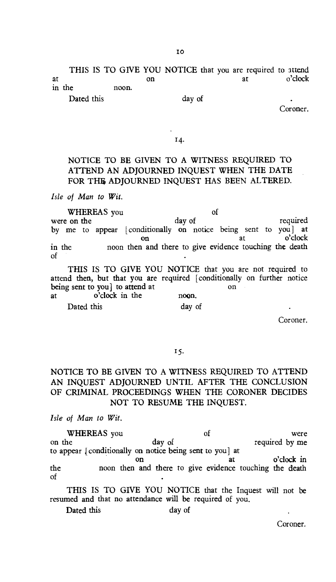THIS IS TO GIVE YOU NOTICE that you are required to attend<br>on at o'clock at on on at o'clock in the noon.

Dated this day of

Coroner.

#### 14.

### NOTICE TO BE GIVEN TO A WITNESS REQUIRED TO ATTEND AN ADJOURNED INQUEST WHEN THE DATE FOR THE ADIOURNED INQUEST HAS BEEN ALTERED.

*Isle of Man to Wit.* 

WHEREAS you of were on the day of the day of the required by me to appear [conditionally on notice being sent to you] at on at o'clock in the noon then and there to give evidence touching the death of

THIS IS TO GIVE YOU NOTICE that you are not required to attend then, but that you are required [conditionally on further notice being sent to you] to attend at on at o'clock in the noon. Dated this day of

Coroner.

#### 15.

#### NOTICE TO BE GIVEN TO A WITNESS REQUIRED TO ATTEND AN INQUEST ADJOURNED UNTIL AFTER THE CONCLUSION OF CRIMINAL PROCEEDINGS WHEN THE CORONER DECIDES NOT TO RESUME THE INQUEST.

*Isle of Man to Wit.* 

WHEREAS you of were<br>on the day of the required by me required by me to appear ] conditionally on notice being sent to you] at on at o'clock in the noon then and there to give evidence touching the death of

THIS IS TO GIVE YOU NOTICE that the Inquest will not be resumed and that no attendance will be required of you.

Dated this day of

Coroner.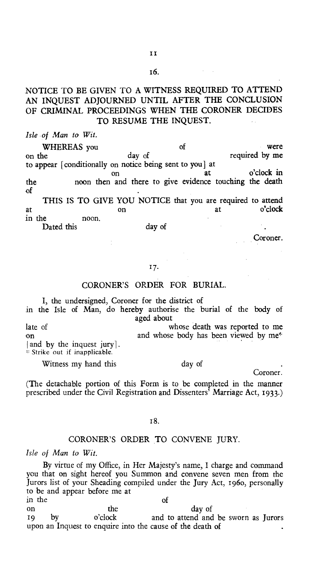#### NOTICE TO BE GIVEN TO A WITNESS REQUIRED TO ATTEND AN INQUEST ADJOURNED UNTIL AFTER THE CONCLUSION OF CRIMINAL PROCEEDINGS WHEN THE CORONER DECIDES TO RESUME THE INQUEST.

*Isle of Man to Wit.* 

WHEREAS you day of the vere were<br>he required by me on the day of required by me to appear [conditionally on notice being sent to you] at on at o'clock in the noon then and there to give evidence touching the death of THIS IS TO GIVE YOU NOTICE that you are required to attend<br>o'clock

at o'clock on at o'clock in the noon. Dated this day of

#### Coroner.

#### *17.*

#### CORONER'S ORDER FOR BURIAL.

I, the undersigned, Coroner for the district of in the Isle of Man, do hereby authorise the burial of the body of

aged about late of whose death was reported to me on and whose body has been viewed by me<sup>\*</sup> and by the inquest jury]. Strike out if inapplicable.

Witness my hand this day of

Coroner.

(The detachable portion of this Form is to be completed in the manner prescribed under the Civil Registration and Dissenters' Marriage Act, 1933.)

#### i8.

#### CORONER'S ORDER TO CONVENE JURY.

*Isle of Man to Wit.* 

By virtue of my Office, in Her Majesty's name, I charge and command you that on sight hereof you Summon and convene seven men from the Jurors list of your Sheading compiled under the Jury Act, 1960, personally to be and appear before me at in the of on the day of<br>
o'clock and to attend and<br>
o'clock and to attend and

and to attend and be sworn as Jurors upon an Inquest to enquire into the cause of the death of